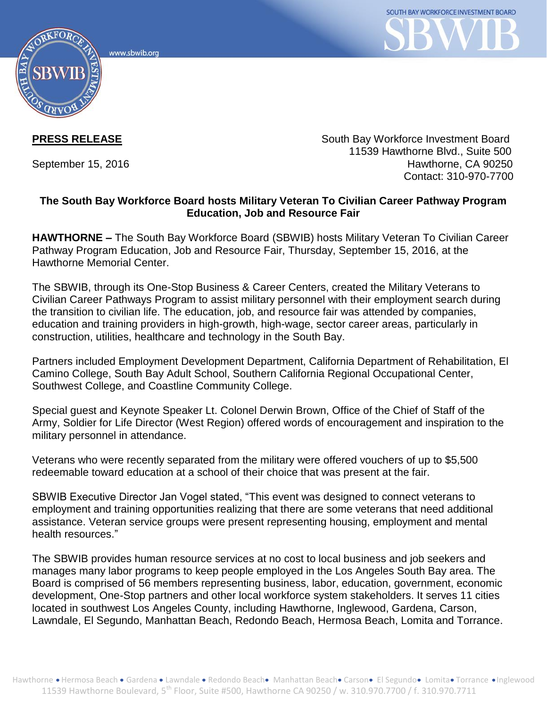



**PRESS RELEASE** South Bay Workforce Investment Board 11539 Hawthorne Blvd., Suite 500 September 15, 2016 **Hawthorne**, CA 90250 Contact: 310-970-7700

## **The South Bay Workforce Board hosts Military Veteran To Civilian Career Pathway Program Education, Job and Resource Fair**

**HAWTHORNE –** The South Bay Workforce Board (SBWIB) hosts Military Veteran To Civilian Career Pathway Program Education, Job and Resource Fair, Thursday, September 15, 2016, at the Hawthorne Memorial Center.

The SBWIB, through its One-Stop Business & Career Centers, created the Military Veterans to Civilian Career Pathways Program to assist military personnel with their employment search during the transition to civilian life. The education, job, and resource fair was attended by companies, education and training providers in high-growth, high-wage, sector career areas, particularly in construction, utilities, healthcare and technology in the South Bay.

Partners included Employment Development Department, California Department of Rehabilitation, El Camino College, South Bay Adult School, Southern California Regional Occupational Center, Southwest College, and Coastline Community College.

Special guest and Keynote Speaker Lt. Colonel Derwin Brown, Office of the Chief of Staff of the Army, Soldier for Life Director (West Region) offered words of encouragement and inspiration to the military personnel in attendance.

Veterans who were recently separated from the military were offered vouchers of up to \$5,500 redeemable toward education at a school of their choice that was present at the fair.

SBWIB Executive Director Jan Vogel stated, "This event was designed to connect veterans to employment and training opportunities realizing that there are some veterans that need additional assistance. Veteran service groups were present representing housing, employment and mental health resources."

The SBWIB provides human resource services at no cost to local business and job seekers and manages many labor programs to keep people employed in the Los Angeles South Bay area. The Board is comprised of 56 members representing business, labor, education, government, economic development, One-Stop partners and other local workforce system stakeholders. It serves 11 cities located in southwest Los Angeles County, including Hawthorne, Inglewood, Gardena, Carson, Lawndale, El Segundo, Manhattan Beach, Redondo Beach, Hermosa Beach, Lomita and Torrance.